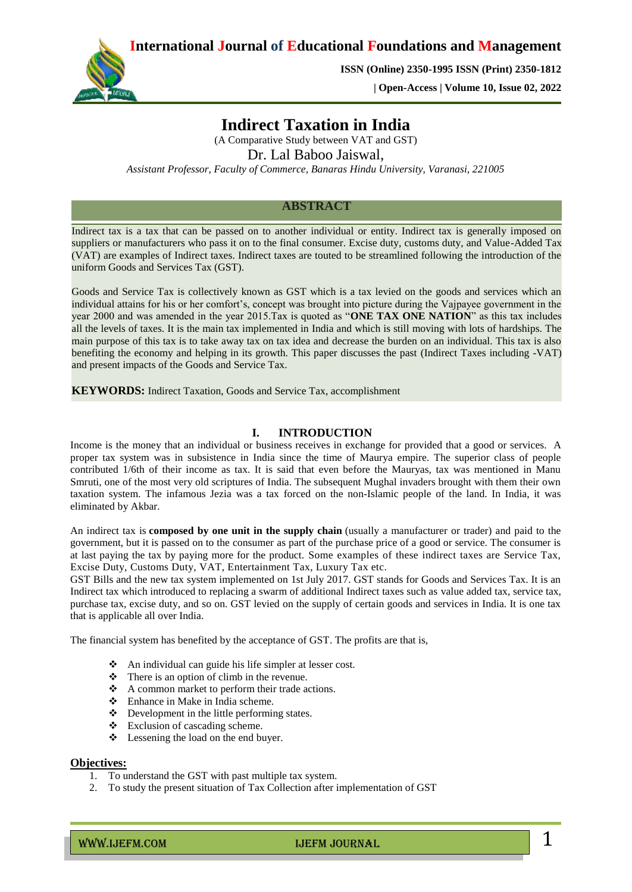**International Journal of Educational Foundations and Management**



**ISSN (Online) 2350-1995 ISSN (Print) 2350-1812** 

 **| Open-Access | Volume 10, Issue 02, 2022**

# **Indirect Taxation in India**

(A Comparative Study between VAT and GST) Dr. Lal Baboo Jaiswal, *Assistant Professor, Faculty of Commerce, Banaras Hindu University, Varanasi, 221005* 

**ABSTRACT**

Indirect tax is a tax that can be passed on to another individual or entity. Indirect tax is generally imposed on suppliers or manufacturers who pass it on to the final consumer. Excise duty, customs duty, and Value-Added Tax (VAT) are examples of Indirect taxes. Indirect taxes are touted to be streamlined following the introduction of the uniform Goods and Services Tax (GST).

Goods and Service Tax is collectively known as GST which is a tax levied on the goods and services which an individual attains for his or her comfort's, concept was brought into picture during the Vajpayee government in the year 2000 and was amended in the year 2015.Tax is quoted as "**ONE TAX ONE NATION**" as this tax includes all the levels of taxes. It is the main tax implemented in India and which is still moving with lots of hardships. The main purpose of this tax is to take away tax on tax idea and decrease the burden on an individual. This tax is also benefiting the economy and helping in its growth. This paper discusses the past (Indirect Taxes including -VAT) and present impacts of the Goods and Service Tax.

**KEYWORDS:** Indirect Taxation, Goods and Service Tax, accomplishment

### *Keywords (11Bold) - About five key words in alphabetical order, separated by comma (10 Italic)* **I. INTRODUCTION**

Income is the money that an individual or business receives in exchange for provided that a good or services. A proper tax system was in subsistence in India since the time of Maurya empire. The superior class of people contributed 1/6th of their income as tax. It is said that even before the Mauryas, tax was mentioned in Manu Smruti, one of the most very old scriptures of India. The subsequent Mughal invaders brought with them their own taxation system. The infamous Jezia was a tax forced on the non-Islamic people of the land. In India, it was eliminated by Akbar.

An indirect tax is **composed by one unit in the supply chain** (usually a manufacturer or trader) and paid to the government, but it is passed on to the consumer as part of the purchase price of a good or service. The consumer is at last paying the tax by paying more for the product. Some examples of these indirect taxes are Service Tax, Excise Duty, Customs Duty, VAT, Entertainment Tax, Luxury Tax etc.

GST Bills and the new tax system implemented on 1st July 2017. GST stands for Goods and Services Tax. It is an Indirect tax which introduced to replacing a swarm of additional Indirect taxes such as [value added tax,](https://www.bankbazaar.com/tax/value-added-tax.html) service tax, purchase tax, excise duty, and so on. GST levied on the supply of certain goods and services in India. It is one tax that is applicable all over India.

The financial system has benefited by the acceptance of GST. The profits are that is,

- An individual can guide his life simpler at lesser cost.
- There is an option of climb in the revenue.
- A common market to perform their trade actions.
- Enhance in Make in India scheme.
- Development in the little performing states.
- $\div$  Exclusion of cascading scheme.
- Lessening the load on the end buyer.

### **Objectives:**

- 1. To understand the GST with past multiple tax system.
- 2. To study the present situation of Tax Collection after implementation of GST

 $\blacksquare$  IJEFM JOURNAL 1 And  $\blacksquare$  1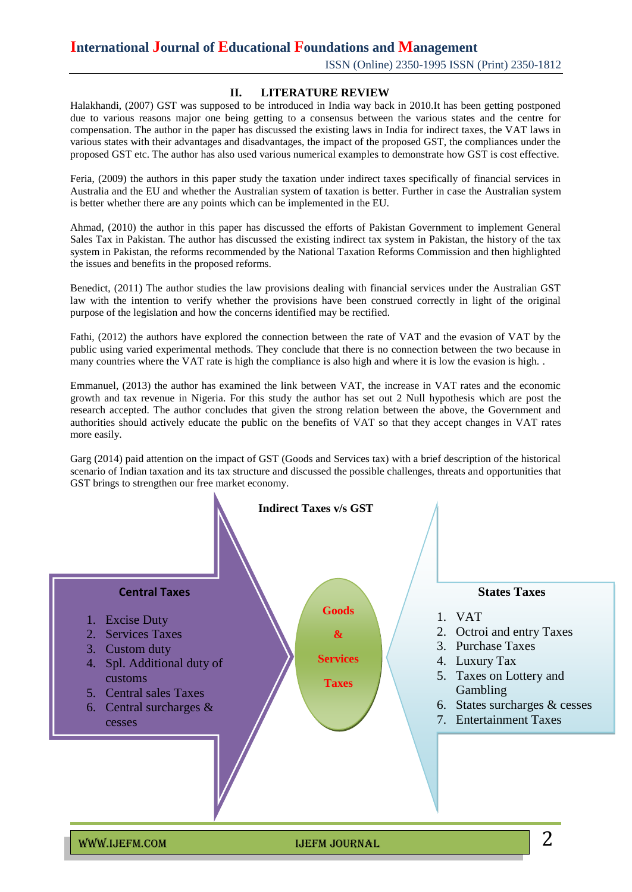# **International Journal of Educational Foundations and Management**

ISSN (Online) 2350-1995 ISSN (Print) 2350-1812

### **II. LITERATURE REVIEW**

Halakhandi, (2007) GST was supposed to be introduced in India way back in 2010.It has been getting postponed due to various reasons major one being getting to a consensus between the various states and the centre for compensation. The author in the paper has discussed the existing laws in India for indirect taxes, the VAT laws in various states with their advantages and disadvantages, the impact of the proposed GST, the compliances under the proposed GST etc. The author has also used various numerical examples to demonstrate how GST is cost effective.

Feria, (2009) the authors in this paper study the taxation under indirect taxes specifically of financial services in Australia and the EU and whether the Australian system of taxation is better. Further in case the Australian system is better whether there are any points which can be implemented in the EU.

Ahmad, (2010) the author in this paper has discussed the efforts of Pakistan Government to implement General Sales Tax in Pakistan. The author has discussed the existing indirect tax system in Pakistan, the history of the tax system in Pakistan, the reforms recommended by the National Taxation Reforms Commission and then highlighted the issues and benefits in the proposed reforms.

Benedict, (2011) The author studies the law provisions dealing with financial services under the Australian GST law with the intention to verify whether the provisions have been construed correctly in light of the original purpose of the legislation and how the concerns identified may be rectified.

Fathi, (2012) the authors have explored the connection between the rate of VAT and the evasion of VAT by the public using varied experimental methods. They conclude that there is no connection between the two because in many countries where the VAT rate is high the compliance is also high and where it is low the evasion is high. .

Emmanuel, (2013) the author has examined the link between VAT, the increase in VAT rates and the economic growth and tax revenue in Nigeria. For this study the author has set out 2 Null hypothesis which are post the research accepted. The author concludes that given the strong relation between the above, the Government and authorities should actively educate the public on the benefits of VAT so that they accept changes in VAT rates more easily.

Garg (2014) paid attention on the impact of GST (Goods and Services tax) with a brief description of the historical scenario of Indian taxation and its tax structure and discussed the possible challenges, threats and opportunities that GST brings to strengthen our free market economy.

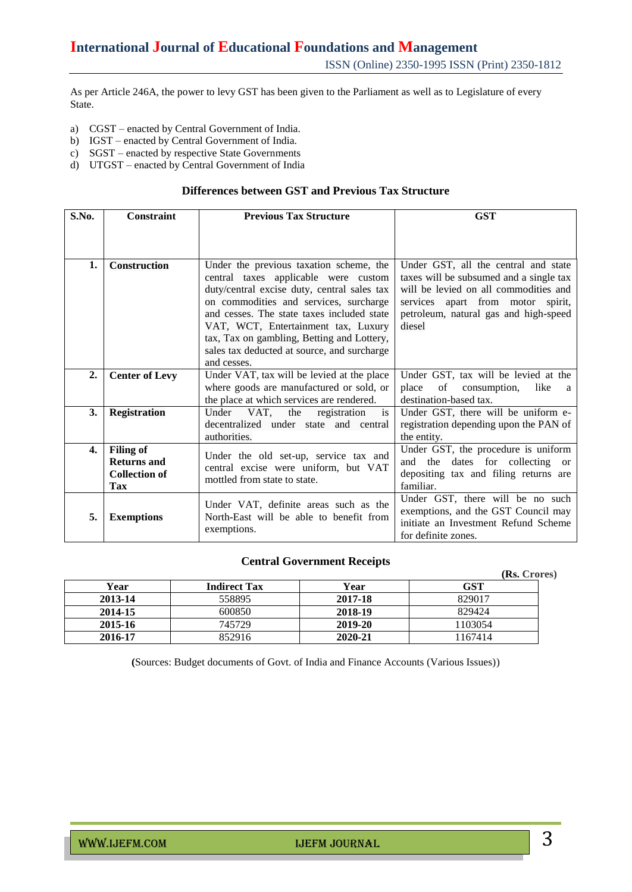As per Article 246A, the power to levy GST has been given to the Parliament as well as to Legislature of every State.

- a) CGST enacted by Central Government of India.
- b) IGST enacted by Central Government of India.
- c) SGST enacted by respective State Governments
- d) UTGST enacted by Central Government of India

### **Differences between GST and Previous Tax Structure**

| S.No. | <b>Constraint</b>                                                     | <b>Previous Tax Structure</b>                                                                                                                                                                                                                                                                                                                                             | <b>GST</b>                                                                                                                                                                                                       |  |
|-------|-----------------------------------------------------------------------|---------------------------------------------------------------------------------------------------------------------------------------------------------------------------------------------------------------------------------------------------------------------------------------------------------------------------------------------------------------------------|------------------------------------------------------------------------------------------------------------------------------------------------------------------------------------------------------------------|--|
|       |                                                                       |                                                                                                                                                                                                                                                                                                                                                                           |                                                                                                                                                                                                                  |  |
| 1.    | <b>Construction</b>                                                   | Under the previous taxation scheme, the<br>central taxes applicable were custom<br>duty/central excise duty, central sales tax<br>on commodities and services, surcharge<br>and cesses. The state taxes included state<br>VAT, WCT, Entertainment tax, Luxury<br>tax, Tax on gambling, Betting and Lottery,<br>sales tax deducted at source, and surcharge<br>and cesses. | Under GST, all the central and state<br>taxes will be subsumed and a single tax<br>will be levied on all commodities and<br>services apart from motor spirit,<br>petroleum, natural gas and high-speed<br>diesel |  |
| 2.    | <b>Center of Levy</b>                                                 | Under VAT, tax will be levied at the place<br>where goods are manufactured or sold, or<br>the place at which services are rendered.                                                                                                                                                                                                                                       | Under GST, tax will be levied at the<br>of<br>place<br>consumption,<br>like<br>a<br>destination-based tax.                                                                                                       |  |
| 3.    | <b>Registration</b>                                                   | VAT,<br>Under<br>the<br>registration<br>is<br>decentralized under state and central<br>authorities.                                                                                                                                                                                                                                                                       | Under GST, there will be uniform e-<br>registration depending upon the PAN of<br>the entity.                                                                                                                     |  |
| 4.    | <b>Filing of</b><br><b>Returns and</b><br><b>Collection of</b><br>Tax | Under the old set-up, service tax and<br>central excise were uniform, but VAT<br>mottled from state to state.                                                                                                                                                                                                                                                             | Under GST, the procedure is uniform<br>dates for collecting<br>the<br>and<br><sub>or</sub><br>depositing tax and filing returns are<br>familiar.                                                                 |  |
| 5.    | <b>Exemptions</b>                                                     | Under VAT, definite areas such as the<br>North-East will be able to benefit from<br>exemptions.                                                                                                                                                                                                                                                                           | Under GST, there will be no such<br>exemptions, and the GST Council may<br>initiate an Investment Refund Scheme<br>for definite zones.                                                                           |  |

### **Central Government Receipts**

|         |                     |         | (Rs. Crores) |
|---------|---------------------|---------|--------------|
| Year    | <b>Indirect Tax</b> | Year    | GST          |
| 2013-14 | 558895              | 2017-18 | 829017       |
| 2014-15 | 600850              | 2018-19 | 829424       |
| 2015-16 | 745729              | 2019-20 | 1103054      |
| 2016-17 | 852916              | 2020-21 | 1167414      |

**(**Sources: Budget documents of Govt. of India and Finance Accounts (Various Issues))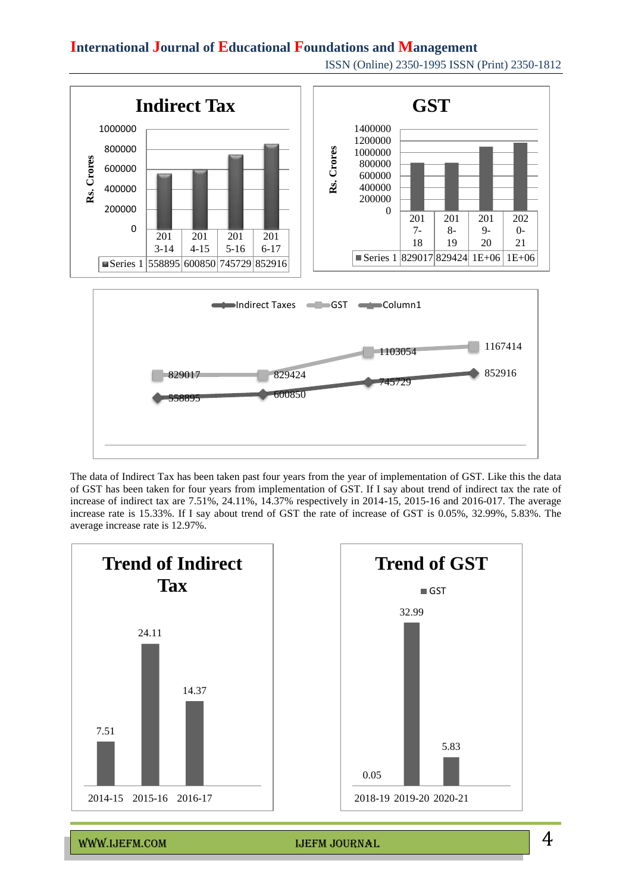## **International Journal of Educational Foundations and Management**



The data of Indirect Tax has been taken past four years from the year of implementation of GST. Like this the data of GST has been taken for four years from implementation of GST. If I say about trend of indirect tax the rate of increase of indirect tax are 7.51%, 24.11%, 14.37% respectively in 2014-15, 2015-16 and 2016-017. The average increase rate is 15.33%. If I say about trend of GST the rate of increase of GST is 0.05%, 32.99%, 5.83%. The average increase rate is 12.97%.



www.ijefm.com in the Internal Internal Internal Internal Internal Internal Internal Internal Internal Internal

ISSN (Online) 2350-1995 ISSN (Print) 2350-1812